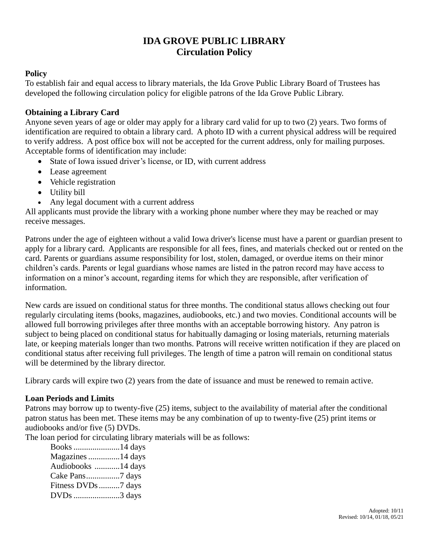# **IDA GROVE PUBLIC LIBRARY Circulation Policy**

#### **Policy**

To establish fair and equal access to library materials, the Ida Grove Public Library Board of Trustees has developed the following circulation policy for eligible patrons of the Ida Grove Public Library.

## **Obtaining a Library Card**

Anyone seven years of age or older may apply for a library card valid for up to two (2) years. Two forms of identification are required to obtain a library card. A photo ID with a current physical address will be required to verify address. A post office box will not be accepted for the current address, only for mailing purposes. Acceptable forms of identification may include:

- State of Iowa issued driver's license, or ID, with current address
- Lease agreement
- Vehicle registration
- Utility bill
- Any legal document with a current address

All applicants must provide the library with a working phone number where they may be reached or may receive messages.

Patrons under the age of eighteen without a valid Iowa driver's license must have a parent or guardian present to apply for a library card. Applicants are responsible for all fees, fines, and materials checked out or rented on the card. Parents or guardians assume responsibility for lost, stolen, damaged, or overdue items on their minor children's cards. Parents or legal guardians whose names are listed in the patron record may have access to information on a minor's account, regarding items for which they are responsible, after verification of information.

New cards are issued on conditional status for three months. The conditional status allows checking out four regularly circulating items (books, magazines, audiobooks, etc.) and two movies. Conditional accounts will be allowed full borrowing privileges after three months with an acceptable borrowing history. Any patron is subject to being placed on conditional status for habitually damaging or losing materials, returning materials late, or keeping materials longer than two months. Patrons will receive written notification if they are placed on conditional status after receiving full privileges. The length of time a patron will remain on conditional status will be determined by the library director.

Library cards will expire two (2) years from the date of issuance and must be renewed to remain active.

#### **Loan Periods and Limits**

Patrons may borrow up to twenty-five (25) items, subject to the availability of material after the conditional patron status has been met. These items may be any combination of up to twenty-five (25) print items or audiobooks and/or five (5) DVDs.

The loan period for circulating library materials will be as follows:

| Books 14 days       |  |
|---------------------|--|
| Magazines 14 days   |  |
| Audiobooks 14 days  |  |
|                     |  |
| Fitness DVDs 7 days |  |
| DVDs 3 days         |  |
|                     |  |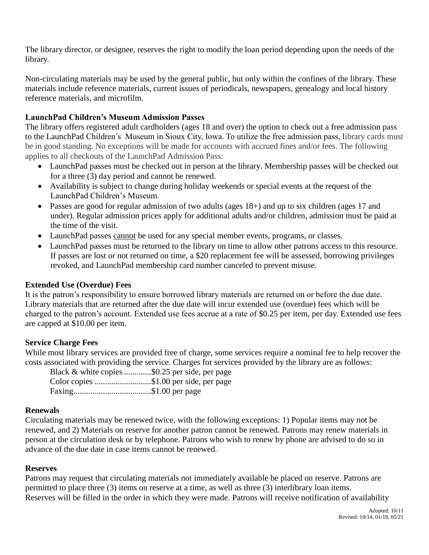The library director, or designee, reserves the right to modify the loan period depending upon the needs of the library.

Non-circulating materials may be used by the general public, but only within the confines of the library. These materials include reference materials, current issues of periodicals, newspapers, genealogy and local history reference materials, and microfilm.

## **LaunchPad Children's Museum Admission Passes**

The library offers registered adult cardholders (ages 18 and over) the option to check out a free admission pass to the LaunchPad Children's Museum in Sioux City, Iowa. To utilize the free admission pass, library cards must be in good standing. No exceptions will be made for accounts with accrued fines and/or fees. The following applies to all checkouts of the LaunchPad Admission Pass:

- LaunchPad passes must be checked out in person at the library. Membership passes will be checked out for a three (3) day period and cannot be renewed.
- Availability is subject to change during holiday weekends or special events at the request of the LaunchPad Children's Museum.
- Passes are good for regular admission of two adults (ages 18+) and up to six children (ages 17 and under). Regular admission prices apply for additional adults and/or children, admission must be paid at the time of the visit.
- LaunchPad passes cannot be used for any special member events, programs, or classes.
- LaunchPad passes must be returned to the library on time to allow other patrons access to this resource. If passes are lost or not returned on time, a \$20 replacement fee will be assessed, borrowing privileges revoked, and LaunchPad membership card number canceled to prevent misuse.

#### **Extended Use (Overdue) Fees**

It is the patron's responsibility to ensure borrowed library materials are returned on or before the due date. Library materials that are returned after the due date will incur extended use (overdue) fees which will be charged to the patron's account. Extended use fees accrue at a rate of \$0.25 per item, per day. Extended use fees are capped at \$10.00 per item.

#### **Service Charge Fees**

While most library services are provided free of charge, some services require a nominal fee to help recover the costs associated with providing the service. Charges for services provided by the library are as follows:

|                       | Black & white copies \$0.25 per side, per page |
|-----------------------|------------------------------------------------|
|                       | Color copies \$1.00 per side, per page         |
| Faxing\$1.00 per page |                                                |

#### **Renewals**

Circulating materials may be renewed twice, with the following exceptions: 1) Popular items may not be renewed, and 2) Materials on reserve for another patron cannot be renewed. Patrons may renew materials in person at the circulation desk or by telephone. Patrons who wish to renew by phone are advised to do so in advance of the due date in case items cannot be renewed.

#### **Reserves**

Patrons may request that circulating materials not immediately available be placed on reserve. Patrons are permitted to place three (3) items on reserve at a time, as well as three (3) interlibrary loan items. Reserves will be filled in the order in which they were made. Patrons will receive notification of availability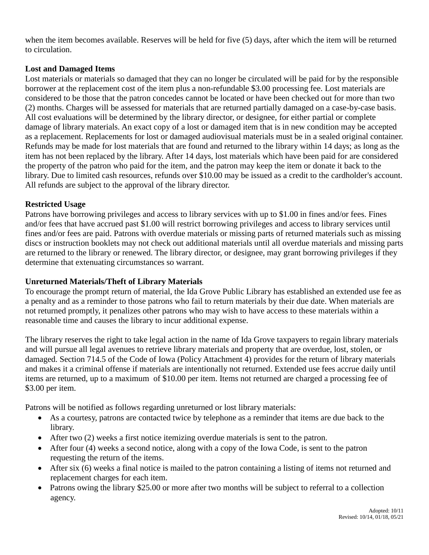when the item becomes available. Reserves will be held for five (5) days, after which the item will be returned to circulation.

## **Lost and Damaged Items**

Lost materials or materials so damaged that they can no longer be circulated will be paid for by the responsible borrower at the replacement cost of the item plus a non-refundable \$3.00 processing fee. Lost materials are considered to be those that the patron concedes cannot be located or have been checked out for more than two (2) months. Charges will be assessed for materials that are returned partially damaged on a case-by-case basis. All cost evaluations will be determined by the library director, or designee, for either partial or complete damage of library materials. An exact copy of a lost or damaged item that is in new condition may be accepted as a replacement. Replacements for lost or damaged audiovisual materials must be in a sealed original container. Refunds may be made for lost materials that are found and returned to the library within 14 days; as long as the item has not been replaced by the library. After 14 days, lost materials which have been paid for are considered the property of the patron who paid for the item, and the patron may keep the item or donate it back to the library. Due to limited cash resources, refunds over \$10.00 may be issued as a credit to the cardholder's account. All refunds are subject to the approval of the library director.

## **Restricted Usage**

Patrons have borrowing privileges and access to library services with up to \$1.00 in fines and/or fees. Fines and/or fees that have accrued past \$1.00 will restrict borrowing privileges and access to library services until fines and/or fees are paid. Patrons with overdue materials or missing parts of returned materials such as missing discs or instruction booklets may not check out additional materials until all overdue materials and missing parts are returned to the library or renewed. The library director, or designee, may grant borrowing privileges if they determine that extenuating circumstances so warrant.

# **Unreturned Materials/Theft of Library Materials**

To encourage the prompt return of material, the Ida Grove Public Library has established an extended use fee as a penalty and as a reminder to those patrons who fail to return materials by their due date. When materials are not returned promptly, it penalizes other patrons who may wish to have access to these materials within a reasonable time and causes the library to incur additional expense.

The library reserves the right to take legal action in the name of Ida Grove taxpayers to regain library materials and will pursue all legal avenues to retrieve library materials and property that are overdue, lost, stolen, or damaged. Section 714.5 of the Code of Iowa (Policy Attachment 4) provides for the return of library materials and makes it a criminal offense if materials are intentionally not returned. Extended use fees accrue daily until items are returned, up to a maximum of \$10.00 per item. Items not returned are charged a processing fee of \$3.00 per item.

Patrons will be notified as follows regarding unreturned or lost library materials:

- As a courtesy, patrons are contacted twice by telephone as a reminder that items are due back to the library.
- After two (2) weeks a first notice itemizing overdue materials is sent to the patron.
- After four (4) weeks a second notice, along with a copy of the Iowa Code, is sent to the patron requesting the return of the items.
- After six (6) weeks a final notice is mailed to the patron containing a listing of items not returned and replacement charges for each item.
- Patrons owing the library \$25.00 or more after two months will be subject to referral to a collection agency.